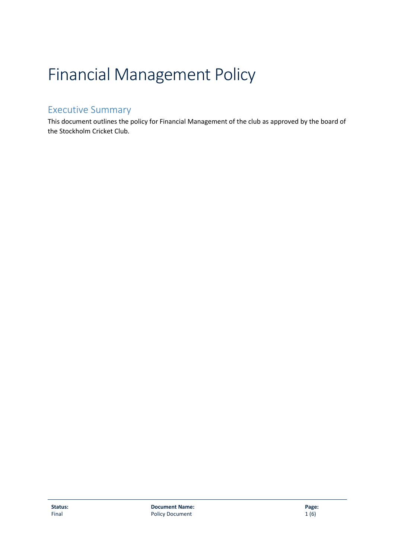# Financial Management Policy

## <span id="page-0-0"></span>Executive Summary

This document outlines the policy for Financial Management of the club as approved by the board of the Stockholm Cricket Club.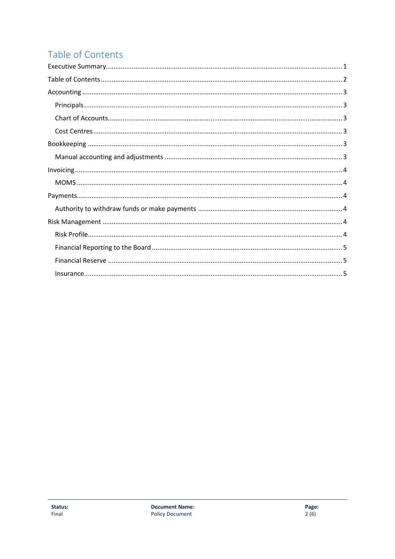# <span id="page-1-0"></span>Table of Contents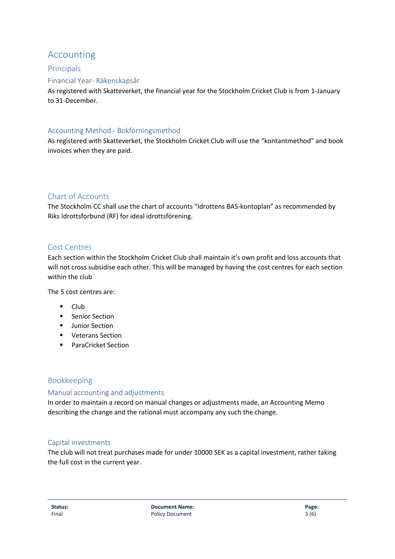## <span id="page-2-0"></span>Accounting

## <span id="page-2-1"></span>Principals

## Financial Year- Räkenskapsår

As registered with Skatteverket, the financial year for the Stockholm Cricket Club is from 1-January to 31-December.

#### Accounting Method - Bokförningsmethod

As registered with Skatteverket, the Stockholm Cricket Club will use the "kontantmethod" and book invoices when they are paid.

## <span id="page-2-2"></span>Chart of Accounts

The Stockholm CC shall use the chart of accounts "Idrottens BAS-kontoplan" as recommended by Riks Idrottsforbund (RF) for ideal idrottsförening.

#### <span id="page-2-3"></span>Cost Centres

Each section within the Stockholm Cricket Club shall maintain it's own profit and loss accounts that will not cross subsidise each other. This will be managed by having the cost centres for each section within the club

The 5 cost centres are:

- Club
- Senior Section
- Junior Section
- Veterans Section
- ParaCricket Section

## <span id="page-2-4"></span>Bookkeeping

#### <span id="page-2-5"></span>Manual accounting and adjustments

In order to maintain a record on manual changes or adjustments made, an Accounting Memo describing the change and the rational must accompany any such the change.

#### Capital investments

The club will not treat purchases made for under 10000 SEK as a capital investment, rather taking the full cost in the current year.

**Status: Document Name: Page:** Final 3 (6) 3 (6) 3 (6) 3 (6) 3 (6) 3 (6) 3 (6) 3 (6) 3 (6) 3 (6) 3 (6) 3 (6) 3 (6) 3 (6) 3 (6) 3 (6) 3 (6) 3 (6) 3 (6) 3 (6) 3 (6) 3 (6) 3 (6) 3 (6) 3 (6) 3 (6) 3 (6) 3 (6) 3 (6) 3 (6) 3 (6) 3 (6) 3 (6) 3 (6) 3 (6) 3 (6)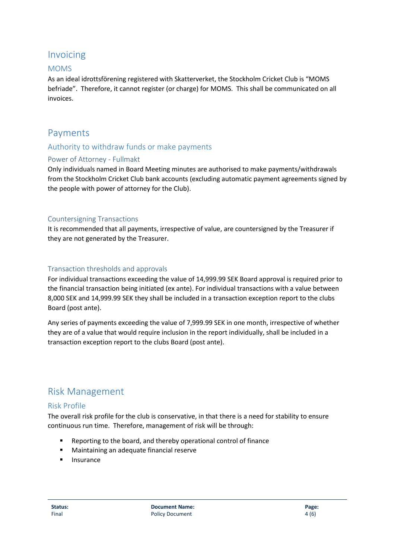## <span id="page-3-0"></span>Invoicing

## <span id="page-3-1"></span>MOMS

As an ideal idrottsförening registered with Skatterverket, the Stockholm Cricket Club is "MOMS befriade". Therefore, it cannot register (or charge) for MOMS. This shall be communicated on all invoices.

## <span id="page-3-2"></span>Payments

## <span id="page-3-3"></span>Authority to withdraw funds or make payments

## Power of Attorney - Fullmakt

Only individuals named in Board Meeting minutes are authorised to make payments/withdrawals from the Stockholm Cricket Club bank accounts (excluding automatic payment agreements signed by the people with power of attorney for the Club).

#### Countersigning Transactions

It is recommended that all payments, irrespective of value, are countersigned by the Treasurer if they are not generated by the Treasurer.

## Transaction thresholds and approvals

For individual transactions exceeding the value of 14,999.99 SEK Board approval is required prior to the financial transaction being initiated (ex ante). For individual transactions with a value between 8,000 SEK and 14,999.99 SEK they shall be included in a transaction exception report to the clubs Board (post ante).

Any series of payments exceeding the value of 7,999.99 SEK in one month, irrespective of whether they are of a value that would require inclusion in the report individually, shall be included in a transaction exception report to the clubs Board (post ante).

## <span id="page-3-4"></span>Risk Management

## <span id="page-3-5"></span>Risk Profile

The overall risk profile for the club is conservative, in that there is a need for stability to ensure continuous run time. Therefore, management of risk will be through:

- Reporting to the board, and thereby operational control of finance
- Maintaining an adequate financial reserve
- Insurance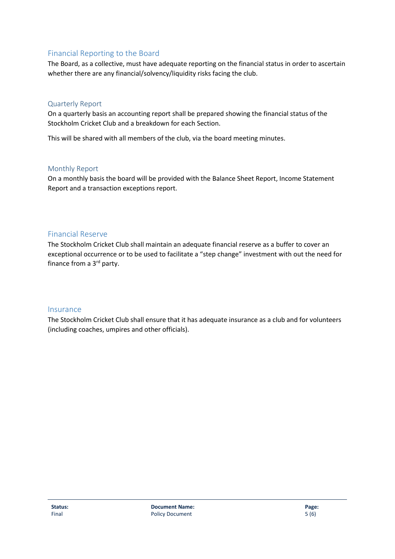## <span id="page-4-0"></span>Financial Reporting to the Board

The Board, as a collective, must have adequate reporting on the financial status in order to ascertain whether there are any financial/solvency/liquidity risks facing the club.

#### Quarterly Report

On a quarterly basis an accounting report shall be prepared showing the financial status of the Stockholm Cricket Club and a breakdown for each Section.

This will be shared with all members of the club, via the board meeting minutes.

#### Monthly Report

On a monthly basis the board will be provided with the Balance Sheet Report, Income Statement Report and a transaction exceptions report.

## <span id="page-4-1"></span>Financial Reserve

The Stockholm Cricket Club shall maintain an adequate financial reserve as a buffer to cover an exceptional occurrence or to be used to facilitate a "step change" investment with out the need for finance from a  $3<sup>rd</sup>$  party.

#### <span id="page-4-2"></span>Insurance

The Stockholm Cricket Club shall ensure that it has adequate insurance as a club and for volunteers (including coaches, umpires and other officials).